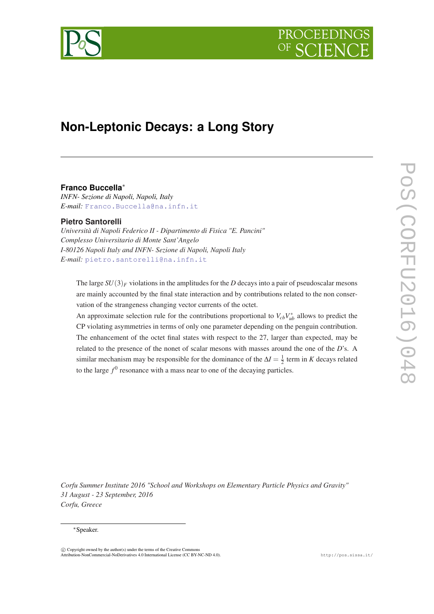

# **Non-Leptonic Decays: a Long Story**

## **Franco Buccella**<sup>∗</sup>

*INFN- Sezione di Napoli, Napoli, Italy E-mail:* [Franco.Buccella@na.infn.it](mailto:Franco.Buccella@na.infn.it)

## **Pietro Santorelli**

*Università di Napoli Federico II - Dipartimento di Fisica "E. Pancini" Complesso Universitario di Monte Sant'Angelo I-80126 Napoli Italy and INFN- Sezione di Napoli, Napoli Italy E-mail:* [pietro.santorelli@na.infn.it](mailto:pietro.santorelli@na.infn.it)

The large  $SU(3)_F$  violations in the amplitudes for the *D* decays into a pair of pseudoscalar mesons are mainly accounted by the final state interaction and by contributions related to the non conservation of the strangeness changing vector currents of the octet.

An approximate selection rule for the contributions proportional to  $V_{cb}V_{ub}^*$  allows to predict the CP violating asymmetries in terms of only one parameter depending on the penguin contribution. The enhancement of the octet final states with respect to the 27, larger than expected, may be related to the presence of the nonet of scalar mesons with masses around the one of the *D*'s. A similar mechanism may be responsible for the dominance of the  $\Delta I = \frac{1}{2}$  term in *K* decays related to the large  $f^0$  resonance with a mass near to one of the decaying particles.

*Corfu Summer Institute 2016 "School and Workshops on Elementary Particle Physics and Gravity" 31 August - 23 September, 2016 Corfu, Greece*

#### <sup>∗</sup>Speaker.

 $\overline{c}$  Copyright owned by the author(s) under the terms of the Creative Common Attribution-NonCommercial-NoDerivatives 4.0 International License (CC BY-NC-ND 4.0). http://pos.sissa.it/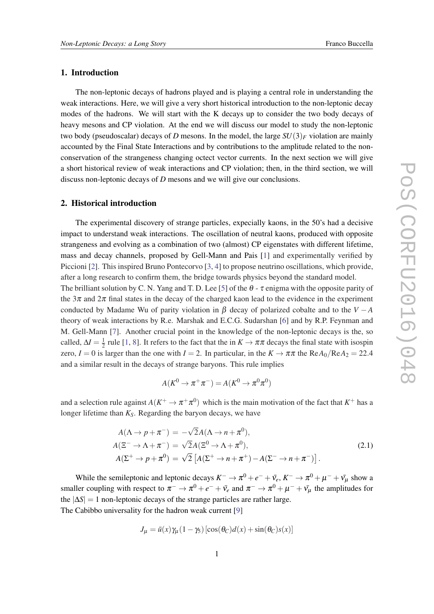#### 1. Introduction

The non-leptonic decays of hadrons played and is playing a central role in understanding the weak interactions. Here, we will give a very short historical introduction to the non-leptonic decay modes of the hadrons. We will start with the K decays up to consider the two body decays of heavy mesons and CP violation. At the end we will discuss our model to study the non-leptonic two body (pseudoscalar) decays of *D* mesons. In the model, the large  $SU(3)_F$  violation are mainly accounted by the Final State Interactions and by contributions to the amplitude related to the nonconservation of the strangeness changing octect vector currents. In the next section we will give a short historical review of weak interactions and CP violation; then, in the third section, we will discuss non-leptonic decays of *D* mesons and we will give our conclusions.

### 2. Historical introduction

The experimental discovery of strange particles, expecially kaons, in the 50's had a decisive impact to understand weak interactions. The oscillation of neutral kaons, produced with opposite strangeness and evolving as a combination of two (almost) CP eigenstates with different lifetime, mass and decay channels, proposed by Gell-Mann and Pais [\[1\]](#page-6-0) and experimentally verified by Piccioni [\[2](#page-6-0)]. This inspired Bruno Pontecorvo [\[3,](#page-6-0) [4](#page-6-0)] to propose neutrino oscillations, which provide, after a long research to confirm them, the bridge towards physics beyond the standard model.

The brilliant solution by C. N. Yang and T. D. Lee [\[5\]](#page-6-0) of the  $\theta$  -  $\tau$  enigma with the opposite parity of the  $3\pi$  and  $2\pi$  final states in the decay of the charged kaon lead to the evidence in the experiment conducted by Madame Wu of parity violation in  $\beta$  decay of polarized cobalte and to the  $V - A$ theory of weak interactions by R.e. Marshak and E.C.G. Sudarshan [\[6\]](#page-6-0) and by R.P. Feynman and M. Gell-Mann [\[7\]](#page-6-0). Another crucial point in the knowledge of the non-leptonic decays is the, so called,  $\Delta I = \frac{1}{2}$  $\frac{1}{2}$  rule [\[1,](#page-6-0) [8](#page-6-0)]. It refers to the fact that the in  $K \to \pi \pi$  decays the final state with isospin zero,  $I = 0$  is larger than the one with  $I = 2$ . In particular, in the  $K \to \pi \pi$  the ReA<sub>0</sub>/ReA<sub>2</sub> = 22.4 and a similar result in the decays of strange baryons. This rule implies

$$
A(K^0 \to \pi^+ \pi^-) = A(K^0 \to \pi^0 \pi^0)
$$

and a selection rule against  $A(K^+ \to \pi^+ \pi^0)$  which is the main motivation of the fact that  $K^+$  has a longer lifetime than *KS*. Regarding the baryon decays, we have

$$
A(\Lambda \to p + \pi^{-}) = -\sqrt{2}A(\Lambda \to n + \pi^{0}),
$$
  
\n
$$
A(\Xi^{-} \to \Lambda + \pi^{-}) = \sqrt{2}A(\Xi^{0} \to \Lambda + \pi^{0}),
$$
  
\n
$$
A(\Sigma^{+} \to p + \pi^{0}) = \sqrt{2} [A(\Sigma^{+} \to n + \pi^{+}) - A(\Sigma^{-} \to n + \pi^{-})].
$$
\n(2.1)

While the semileptonic and leptonic decays  $K^- \to \pi^0 + e^- + \bar{v_e}$ ,  $K^- \to \pi^0 + \mu^- + \bar{v_\mu}$  show a smaller coupling with respect to  $\pi^- \to \pi^0 + e^- + \bar{v_e}$  and  $\pi^- \to \pi^0 + \mu^- + \bar{v_\mu}$  the amplitudes for the  $|\Delta S| = 1$  non-leptonic decays of the strange particles are rather large. The Cabibbo universality for the hadron weak current [\[9\]](#page-6-0)

$$
J_{\mu} = \bar{u}(x)\gamma_{\mu}(1-\gamma_5)\left[\cos(\theta_C)d(x) + \sin(\theta_C)s(x)\right]
$$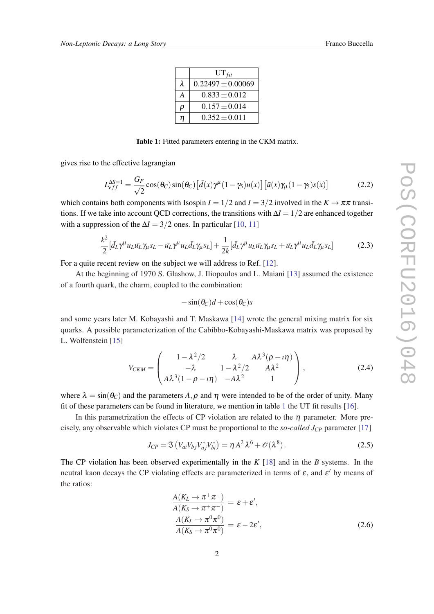|   | $UT_{fit}$            |  |  |
|---|-----------------------|--|--|
| λ | $0.22497 \pm 0.00069$ |  |  |
| А | $0.833 + 0.012$       |  |  |
| p | $0.157 \pm 0.014$     |  |  |
| n | $0.352 \pm 0.011$     |  |  |

Table 1: Fitted parameters entering in the CKM matrix.

gives rise to the effective lagrangian

$$
L_{eff}^{\Delta S=1} = \frac{G_F}{\sqrt{2}} \cos(\theta_C) \sin(\theta_C) \left[ \bar{d}(x) \gamma^{\mu} (1 - \gamma_5) u(x) \right] \left[ \bar{u}(x) \gamma_{\mu} (1 - \gamma_5) s(x) \right]
$$
(2.2)

which contains both components with Isospin  $I = 1/2$  and  $I = 3/2$  involved in the  $K \to \pi \pi$  transitions. If we take into account QCD corrections, the transitions with ∆*I* = 1/2 are enhanced together with a suppression of the  $\Delta I = 3/2$  ones. In particular [[10](#page-6-0), [11\]](#page-6-0)

$$
\frac{k^2}{2} [\bar{d}_L \gamma^\mu u_L \bar{u}_L \gamma_\mu s_L - \bar{u}_L \gamma^\mu u_L \bar{d}_L \gamma_\mu s_L] + \frac{1}{2k} [\bar{d}_L \gamma^\mu u_L \bar{u}_L \gamma_\mu s_L + \bar{u}_L \gamma^\mu u_L \bar{d}_L \gamma_\mu s_L]
$$
(2.3)

For a quite recent review on the subject we will address to Ref. [\[12](#page-6-0)].

At the beginning of 1970 S. Glashow, J. Iliopoulos and L. Maiani [\[13](#page-6-0)] assumed the existence of a fourth quark, the charm, coupled to the combination:

$$
-\sin(\theta_C)d + \cos(\theta_C)s
$$

and some years later M. Kobayashi and T. Maskawa [[14\]](#page-6-0) wrote the general mixing matrix for six quarks. A possible parameterization of the Cabibbo-Kobayashi-Maskawa matrix was proposed by L. Wolfenstein [\[15](#page-6-0)]

$$
V_{CKM} = \begin{pmatrix} 1 - \lambda^2/2 & \lambda & A\lambda^3(\rho - i\eta) \\ -\lambda & 1 - \lambda^2/2 & A\lambda^2 \\ A\lambda^3(1 - \rho - i\eta) & -A\lambda^2 & 1 \end{pmatrix},
$$
(2.4)

where  $\lambda = \sin(\theta_C)$  and the parameters A,  $\rho$  and  $\eta$  were intended to be of the order of unity. Many fit of these parameters can be found in literature, we mention in table 1 the UT fit results [\[16\]](#page-6-0).

In this parametrization the effects of CP violation are related to the  $\eta$  parameter. More precisely, any observable which violates CP must be proportional to the *so-called JCP* parameter [\[17\]](#page-6-0)

$$
J_{CP} = \mathfrak{S} \left( V_{ai} V_{bj} V_{aj}^* V_{bi}^* \right) = \eta A^2 \lambda^6 + \mathcal{O}(\lambda^8).
$$
 (2.5)

The CP violation has been observed experimentally in the *K* [[18\]](#page-6-0) and in the *B* systems. In the neutral kaon decays the CP violating effects are parameterized in terms of  $\varepsilon$ , and  $\varepsilon'$  by means of the ratios:

$$
\frac{A(K_L \to \pi^+ \pi^-)}{A(K_S \to \pi^+ \pi^-)} = \varepsilon + \varepsilon',
$$
\n
$$
\frac{A(K_L \to \pi^0 \pi^0)}{A(K_S \to \pi^0 \pi^0)} = \varepsilon - 2\varepsilon',
$$
\n(2.6)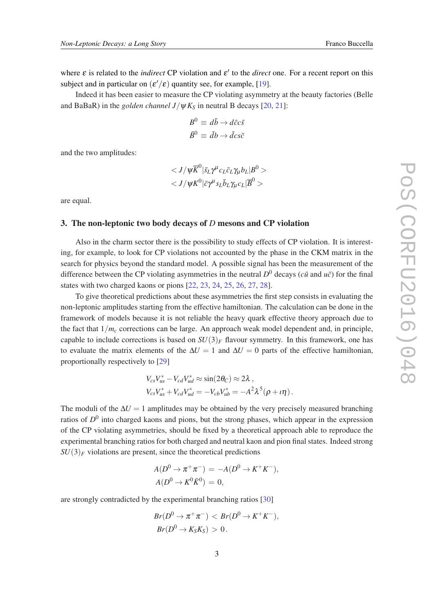where  $\varepsilon$  is related to the *indirect* CP violation and  $\varepsilon'$  to the *direct* one. For a recent report on this subject and in particular on  $(\varepsilon'/\varepsilon)$  quantity see, for example, [[19\]](#page-6-0).

Indeed it has been easier to measure the CP violating asymmetry at the beauty factories (Belle and BaBaR) in the *golden channel*  $J/\psi K_S$  in neutral B decays [\[20](#page-6-0), [21\]](#page-7-0):

$$
B^0 \equiv d\bar{b} \rightarrow d\bar{c}c\bar{s}
$$
  

$$
\bar{B}^0 \equiv \bar{d}b \rightarrow \bar{d}c s\bar{c}
$$

and the two amplitudes:

$$
\langle J/\psi \overline{K}^0 | \bar{s}_L \gamma^{\mu} c_L \bar{c}_L \gamma_{\mu} b_L | B^0 > \\ \langle J/\psi K^0 | \bar{c} \gamma^{\mu} s_L \bar{b}_L \gamma_{\mu} c_L | \overline{B}^0 > \rangle
$$

are equal.

# 3. The non-leptonic two body decays of *D* mesons and CP violation

Also in the charm sector there is the possibility to study effects of CP violation. It is interesting, for example, to look for CP violations not accounted by the phase in the CKM matrix in the search for physics beyond the standard model. A possible signal has been the measurement of the difference between the CP violating asymmetries in the neutral  $D^0$  decays (*cū* and  $u\bar{c}$ ) for the final states with two charged kaons or pions [\[22](#page-7-0), [23,](#page-7-0) [24](#page-7-0), [25](#page-7-0), [26,](#page-7-0) [27](#page-7-0), [28\]](#page-7-0).

To give theoretical predictions about these asymmetries the first step consists in evaluating the non-leptonic amplitudes starting from the effective hamiltonian. The calculation can be done in the framework of models because it is not reliable the heavy quark effective theory approach due to the fact that  $1/m<sub>c</sub>$  corrections can be large. An approach weak model dependent and, in principle, capable to include corrections is based on  $SU(3)_F$  flavour symmetry. In this framework, one has to evaluate the matrix elements of the  $\Delta U = 1$  and  $\Delta U = 0$  parts of the effective hamiltonian, proportionally respectively to [\[29](#page-7-0)]

$$
V_{cs}V_{us}^* - V_{cd}V_{ud}^* \approx \sin(2\theta_C) \approx 2\lambda ,
$$
  
\n
$$
V_{cs}V_{us}^* + V_{cd}V_{ud}^* = -V_{cb}V_{ub}^* = -A^2\lambda^5(\rho + i\eta).
$$

The moduli of the  $\Delta U = 1$  amplitudes may be obtained by the very precisely measured branching ratios of  $D^0$  into charged kaons and pions, but the strong phases, which appear in the expression of the CP violating asymmetries, should be fixed by a theoretical approach able to reproduce the experimental branching ratios for both charged and neutral kaon and pion final states. Indeed strong  $SU(3)_F$  violations are present, since the theoretical predictions

$$
A(D^0 \to \pi^+ \pi^-) = -A(D^0 \to K^+ K^-),
$$
  

$$
A(D^0 \to K^0 \bar{K}^0) = 0,
$$

are strongly contradicted by the experimental branching ratios [[30\]](#page-7-0)

$$
Br(D^0 \to \pi^+ \pi^-) < Br(D^0 \to K^+ K^-),
$$
\n
$$
Br(D^0 \to K_S K_S) > 0.
$$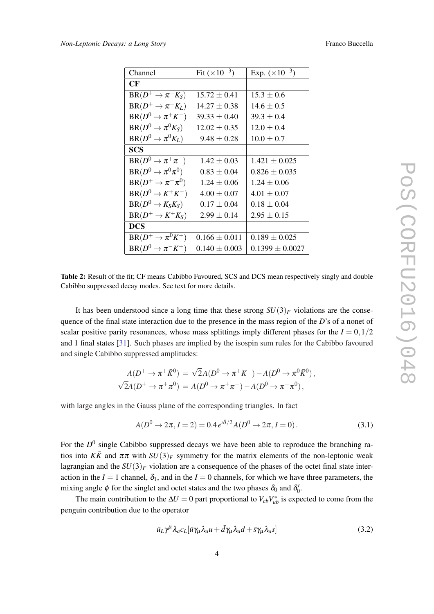<span id="page-4-0"></span>

| Channel                       | Fit $(\times 10^{-3})$ | Exp. $(\times 10^{-3})$ |
|-------------------------------|------------------------|-------------------------|
| $\bf CF$                      |                        |                         |
| $BR(D^+\to \pi^+K_S)$         | $15.72 \pm 0.41$       | $15.3 \pm 0.6$          |
| $BR(D^+\to \pi^+K_L)$         | $14.27 \pm 0.38$       | $14.6 \pm 0.5$          |
| $BR(D^0 \to \pi^+ K^-)$       | $39.33 \pm 0.40$       | $39.3 \pm 0.4$          |
| $BR(D^0 \to \pi^0 K_S)$       | $12.02 \pm 0.35$       | $12.0 \pm 0.4$          |
| $BR(D^0 \to \pi^0 K_L)$       | $9.48 \pm 0.28$        | $10.0 \pm 0.7$          |
| SCS                           |                        |                         |
| $BR(D^0 \to \pi^+ \pi^-)$     | $1.42 \pm 0.03$        | $1.421 \pm 0.025$       |
| $BR(D^0 \to \pi^0 \pi^0)$     | $0.83 \pm 0.04$        | $0.826 \pm 0.035$       |
| $BR(D^+\to \pi^+\pi^0)$       | $1.24 \pm 0.06$        | $1.24 \pm 0.06$         |
| $BR(D^0 \rightarrow K^+K^-)$  | $4.00 \pm 0.07$        | $4.01 \pm 0.07$         |
| $BR(D^0 \rightarrow K_S K_S)$ | $0.17 \pm 0.04$        | $0.18 \pm 0.04$         |
| $BR(D^+ \rightarrow K^+K_S)$  | $2.99 \pm 0.14$        | $2.95 \pm 0.15$         |
| <b>DCS</b>                    |                        |                         |
| $BR(D^+\to \pi^0 K^+)$        | $0.166 \pm 0.011$      | $0.189 \pm 0.025$       |
| $BR(D^0 \to \pi^- K^+)$       | $0.140 \pm 0.003$      | $0.1399 \pm 0.0027$     |

Table 2: Result of the fit; CF means Cabibbo Favoured, SCS and DCS mean respectively singly and double Cabibbo suppressed decay modes. See text for more details.

It has been understood since a long time that these strong  $SU(3)_F$  violations are the consequence of the final state interaction due to the presence in the mass region of the *D*'s of a nonet of scalar positive parity resonances, whose mass splittings imply different phases for the  $I = 0.1/2$ and 1 final states [\[31](#page-7-0)]. Such phases are implied by the isospin sum rules for the Cabibbo favoured and single Cabibbo suppressed amplitudes:

$$
A(D^+\to \pi^+\bar{K}^0) = \sqrt{2}A(D^0\to \pi^+K^-) - A(D^0\to \pi^0\bar{K}^0),
$$
  

$$
\sqrt{2}A(D^+\to \pi^+\pi^0) = A(D^0\to \pi^+\pi^-) - A(D^0\to \pi^+\pi^0),
$$

with large angles in the Gauss plane of the corresponding triangles. In fact

$$
A(D^{0} \to 2\pi, I=2) = 0.4 e^{i\delta/2} A(D^{0} \to 2\pi, I=0).
$$
 (3.1)

For the  $D^0$  single Cabibbo suppressed decays we have been able to reproduce the branching ratios into  $K\overline{K}$  and  $\pi\pi$  with  $SU(3)_F$  symmetry for the matrix elements of the non-leptonic weak lagrangian and the  $SU(3)_F$  violation are a consequence of the phases of the octet final state interaction in the  $I = 1$  channel,  $\delta_1$ , and in the  $I = 0$  channels, for which we have three parameters, the mixing angle  $\phi$  for the singlet and octet states and the two phases  $\delta_0$  and  $\delta'_0$ .

The main contribution to the  $\Delta U = 0$  part proportional to  $V_{cb}V_{ub}^*$  is expected to come from the penguin contribution due to the operator

$$
\bar{u}_L \gamma^{\mu} \lambda_a c_L [\bar{u} \gamma_{\mu} \lambda_a u + \bar{d} \gamma_{\mu} \lambda_a d + \bar{s} \gamma_{\mu} \lambda_a s]
$$
\n(3.2)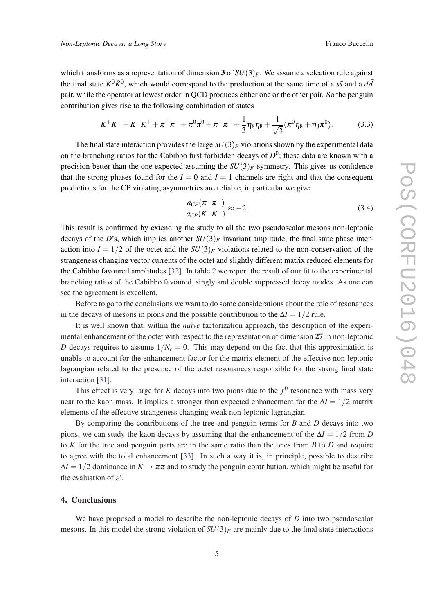which transforms as a representation of dimension 3 of  $SU(3)_F$ . We assume a selection rule against the final state  $K^0 \bar{K}^0$ , which would correspond to the production at the same time of a  $s\bar{s}$  and a  $d\bar{d}$ pair, while the operator at lowest order in QCD produces either one or the other pair. So the penguin contribution gives rise to the following combination of states

$$
K^{+}K^{-} + K^{-}K^{+} + \pi^{+}\pi^{-} + \pi^{0}\pi^{0} + \pi^{-}\pi^{+} + \frac{1}{3}\eta_{8}\eta_{8} + \frac{1}{\sqrt{3}}(\pi^{0}\eta_{8} + \eta_{8}\pi^{0}).
$$
 (3.3)

The final state interaction provides the large  $SU(3)_F$  violations shown by the experimental data on the branching ratios for the Cabibbo first forbidden decays of  $D^0$ ; these data are known with a precision better than the one expected assuming the  $SU(3)_F$  symmetry. This gives us confidence that the strong phases found for the  $I = 0$  and  $I = 1$  channels are right and that the consequent predictions for the CP violating asymmetries are reliable, in particular we give

$$
\frac{a_{CP}(\pi^+\pi^-)}{a_{CP}(K^+K^-)} \approx -2.\tag{3.4}
$$

This result is confirmed by extending the study to all the two pseudoscalar mesons non-leptonic decays of the *D*'s, which implies another  $SU(3)_F$  invariant amplitude, the final state phase interaction into  $I = 1/2$  of the octet and the  $SU(3)_F$  violations related to the non-conservation of the strangeness changing vector currents of the octet and slightly different matrix reduced elements for the Cabibbo favoured amplitudes [\[32](#page-7-0)]. In table [2](#page-4-0) we report the result of our fit to the experimental branching ratios of the Cabibbo favoured, singly and double suppressed decay modes. As one can see the agreement is excellent.

Before to go to the conclusions we want to do some considerations about the role of resonances in the decays of mesons in pions and the possible contribution to the  $\Delta I = 1/2$  rule.

It is well known that, within the *naive* factorization approach, the description of the experimental enhancement of the octet with respect to the representation of dimension 27 in non-leptonic *D* decays requires to assume  $1/N_c = 0$ . This may depend on the fact that this approximation is unable to account for the enhancement factor for the matrix element of the effective non-leptonic lagrangian related to the presence of the octet resonances responsible for the strong final state interaction [\[31](#page-7-0)].

This effect is very large for *K* decays into two pions due to the  $f^0$  resonance with mass very near to the kaon mass. It implies a stronger than expected enhancement for the  $\Delta I = 1/2$  matrix elements of the effective strangeness changing weak non-leptonic lagrangian.

By comparing the contributions of the tree and penguin terms for *B* and *D* decays into two pions, we can study the kaon decays by assuming that the enhancement of the ∆*I* = 1/2 from *D* to *K* for the tree and penguin parts are in the same ratio than the ones from *B* to *D* and require to agree with the total enhancement [\[33](#page-7-0)]. In such a way it is, in principle, possible to describe  $\Delta I = 1/2$  dominance in  $K \to \pi \pi$  and to study the penguin contribution, which might be useful for the evaluation of  $\varepsilon'$ .

#### 4. Conclusions

We have proposed a model to describe the non-leptonic decays of *D* into two pseudoscalar mesons. In this model the strong violation of  $SU(3)_F$  are mainly due to the final state interactions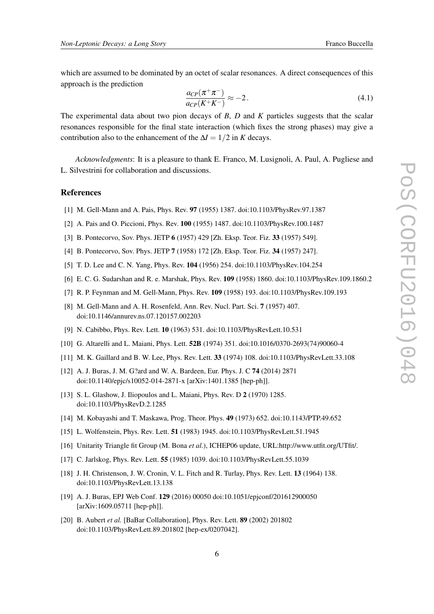<span id="page-6-0"></span>which are assumed to be dominated by an octet of scalar resonances. A direct consequences of this approach is the prediction

$$
\frac{a_{CP}(\pi^+\pi^-)}{a_{CP}(K^+K^-)} \approx -2.
$$
\n(4.1)

The experimental data about two pion decays of *B*, *D* and *K* particles suggests that the scalar resonances responsible for the final state interaction (which fixes the strong phases) may give a contribution also to the enhancement of the  $\Delta I = 1/2$  in *K* decays.

*Acknowledgments*: It is a pleasure to thank E. Franco, M. Lusignoli, A. Paul, A. Pugliese and L. Silvestrini for collaboration and discussions.

#### References

- [1] M. Gell-Mann and A. Pais, Phys. Rev. 97 (1955) 1387. doi:10.1103/PhysRev.97.1387
- [2] A. Pais and O. Piccioni, Phys. Rev. 100 (1955) 1487. doi:10.1103/PhysRev.100.1487
- [3] B. Pontecorvo, Sov. Phys. JETP 6 (1957) 429 [Zh. Eksp. Teor. Fiz. 33 (1957) 549].
- [4] B. Pontecorvo, Sov. Phys. JETP 7 (1958) 172 [Zh. Eksp. Teor. Fiz. 34 (1957) 247].
- [5] T. D. Lee and C. N. Yang, Phys. Rev. 104 (1956) 254. doi:10.1103/PhysRev.104.254
- [6] E. C. G. Sudarshan and R. e. Marshak, Phys. Rev. 109 (1958) 1860. doi:10.1103/PhysRev.109.1860.2
- [7] R. P. Feynman and M. Gell-Mann, Phys. Rev. 109 (1958) 193. doi:10.1103/PhysRev.109.193
- [8] M. Gell-Mann and A. H. Rosenfeld, Ann. Rev. Nucl. Part. Sci. 7 (1957) 407. doi:10.1146/annurev.ns.07.120157.002203
- [9] N. Cabibbo, Phys. Rev. Lett. 10 (1963) 531. doi:10.1103/PhysRevLett.10.531
- [10] G. Altarelli and L. Maiani, Phys. Lett. 52B (1974) 351. doi:10.1016/0370-2693(74)90060-4
- [11] M. K. Gaillard and B. W. Lee, Phys. Rev. Lett. 33 (1974) 108. doi:10.1103/PhysRevLett.33.108
- [12] A. J. Buras, J. M. G?ard and W. A. Bardeen, Eur. Phys. J. C 74 (2014) 2871 doi:10.1140/epjc/s10052-014-2871-x [arXiv:1401.1385 [hep-ph]].
- [13] S. L. Glashow, J. Iliopoulos and L. Maiani, Phys. Rev. D 2 (1970) 1285. doi:10.1103/PhysRevD.2.1285
- [14] M. Kobayashi and T. Maskawa, Prog. Theor. Phys. 49 (1973) 652. doi:10.1143/PTP.49.652
- [15] L. Wolfenstein, Phys. Rev. Lett. 51 (1983) 1945. doi:10.1103/PhysRevLett.51.1945
- [16] Unitarity Triangle fit Group (M. Bona *et al.*), ICHEP06 update, URL:http://www.utfit.org/UTfit/.
- [17] C. Jarlskog, Phys. Rev. Lett. 55 (1985) 1039. doi:10.1103/PhysRevLett.55.1039
- [18] J. H. Christenson, J. W. Cronin, V. L. Fitch and R. Turlay, Phys. Rev. Lett. 13 (1964) 138. doi:10.1103/PhysRevLett.13.138
- [19] A. J. Buras, EPJ Web Conf. 129 (2016) 00050 doi:10.1051/epjconf/201612900050 [arXiv:1609.05711 [hep-ph]].
- [20] B. Aubert *et al.* [BaBar Collaboration], Phys. Rev. Lett. 89 (2002) 201802 doi:10.1103/PhysRevLett.89.201802 [hep-ex/0207042].